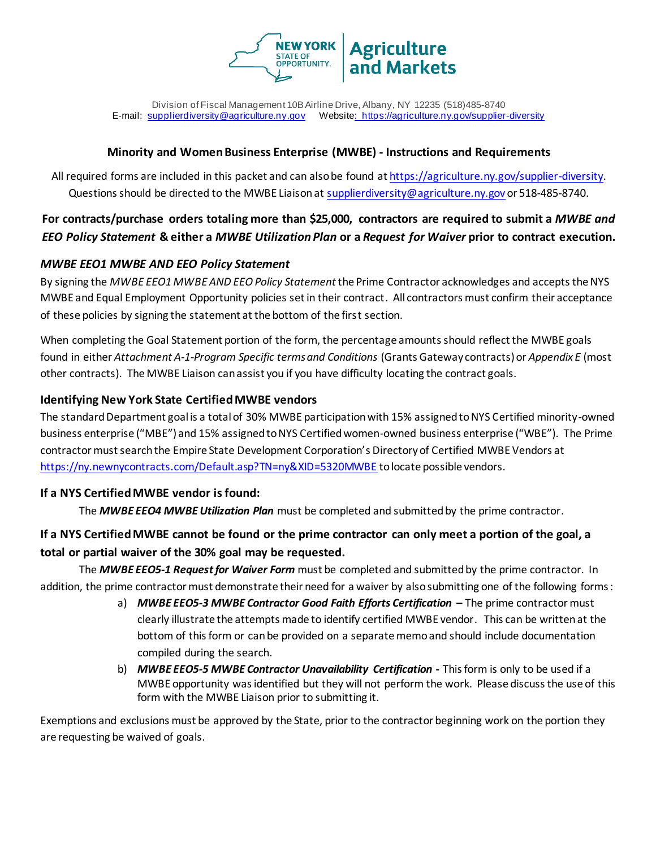

Division of Fiscal Management 10B Airline Drive, Albany, NY 12235 (518)485-8740 E-mail: [supplierdiversity@agriculture.ny.gov](mailto:supplierdiversity@agriculture.ny.gov) Website: <https://agriculture.ny.gov/supplier-diversity>

#### **Minority and Women Business Enterprise (MWBE) - Instructions and Requirements**

All required forms are included in this packet and can also be found at [https://agriculture.ny.gov/supplier-diversity.](https://agriculture.ny.gov/supplier-diversity) Questions should be directed to the MWBE Liaison at [supplierdiversity@agriculture.ny.gov](mailto:supplierdiversity@agriculture.ny.gov) or 518-485-8740.

# **For contracts/purchase orders totaling more than \$25,000, contractors are required to submit a** *MWBE and EEO Policy Statement* **& either a** *MWBE Utilization Plan* **or a** *Request for Waiver* **prior to contract execution.**

### *MWBE EEO1 MWBE AND EEO Policy Statement*

By signing the *MWBE EEO1 MWBE AND EEO Policy Statement* the Prime Contractor acknowledges and accepts the NYS MWBE and Equal Employment Opportunity policies set in their contract. All contractors must confirm their acceptance of these policies by signing the statement at the bottom of the first section.

When completing the Goal Statement portion of the form, the percentage amounts should reflect the MWBE goals found in either *Attachment A-1-Program Specific terms and Conditions* (Grants Gateway contracts) or *Appendix E* (most other contracts). The MWBE Liaison can assist you if you have difficulty locating the contract goals.

## **Identifying New York State Certified MWBE vendors**

The standard Department goal is a total of 30% MWBE participation with 15% assigned to NYS Certified minority-owned business enterprise ("MBE") and 15% assigned to NYS Certified women-owned business enterprise ("WBE"). The Prime contractor must search the Empire State Development Corporation's Directory of Certified MWBE Vendors at <https://ny.newnycontracts.com/Default.asp?TN=ny&XID=5320MWBE> to locate possible vendors.

### **If a NYS Certified MWBE vendor is found:**

The *MWBE EEO4 MWBE Utilization Plan* must be completed and submitted by the prime contractor.

# **If a NYS Certified MWBE cannot be found or the prime contractor can only meet a portion of the goal, a total or partial waiver of the 30% goal may be requested.**

The *MWBE EEO5-1 Request for Waiver Form* must be completed and submitted by the prime contractor. In addition, the prime contractor must demonstrate their need for a waiver by also submitting one of the following forms:

- a) *MWBE EEO5-3 MWBE Contractor Good Faith Efforts Certification* **–** The prime contractor must clearly illustrate the attempts made to identify certified MWBE vendor. This can be written at the bottom of this form or can be provided on a separate memo and should include documentation compiled during the search.
- b) *MWBE EEO5-5 MWBE Contractor Unavailability Certification* **-** This form is only to be used if a MWBE opportunity was identified but they will not perform the work. Please discuss the use of this form with the MWBE Liaison prior to submitting it.

Exemptions and exclusions must be approved by the State, prior to the contractor beginning work on the portion they are requesting be waived of goals.